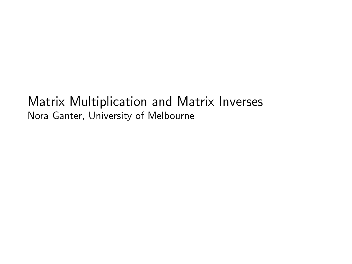#### Matrix Multiplication and Matrix Inverses Nora Ganter, University of Melbourne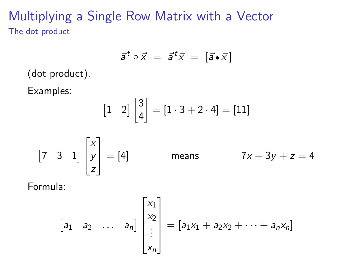## Multiplying a Single Row Matrix with a Vector The dot product

$$
\vec{a}^t \circ \vec{x} = \vec{a}^t \vec{x} = [\vec{a} \cdot \vec{x}]
$$

(dot product).

Examples:

$$
\begin{bmatrix} 1 & 2 \end{bmatrix} \begin{bmatrix} 3 \\ 4 \end{bmatrix} = \begin{bmatrix} 1 \cdot 3 + 2 \cdot 4 \end{bmatrix} = \begin{bmatrix} 11 \end{bmatrix}
$$

$$
\begin{bmatrix} 7 & 3 & 1 \end{bmatrix}
$$
 $\begin{bmatrix} x \\ y \\ z \end{bmatrix}$  = [4] means  $7x + 3y + z = 4$ 

Formula:

$$
\begin{bmatrix} a_1 & a_2 & \dots & a_n \end{bmatrix} \begin{bmatrix} x_1 \\ x_2 \\ \vdots \\ x_n \end{bmatrix} = \begin{bmatrix} a_1x_1 + a_2x_2 + \dots + a_nx_n \end{bmatrix}
$$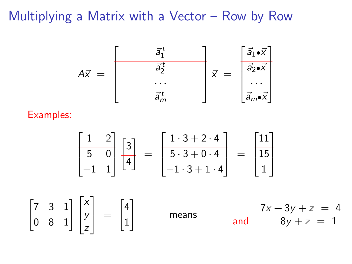#### Multiplying a Matrix with a Vector – Row by Row



Examples:

$$
\begin{bmatrix} 1 & 2 \ 5 & 0 \ -1 & 1 \end{bmatrix} \begin{bmatrix} 3 \ 4 \end{bmatrix} = \begin{bmatrix} 1 \cdot 3 + 2 \cdot 4 \ 5 \cdot 3 + 0 \cdot 4 \ -1 \cdot 3 + 1 \cdot 4 \end{bmatrix} = \begin{bmatrix} 11 \ 15 \ 1 \end{bmatrix}
$$

 $\begin{bmatrix} 7 & 3 & 1 \\ 0 & 8 & 1 \end{bmatrix}$ x y z 1  $\Big\} =$  $\lceil 4 \rceil$ 1 1 means  $7x + 3y + z = 4$ and  $8y + z = 1$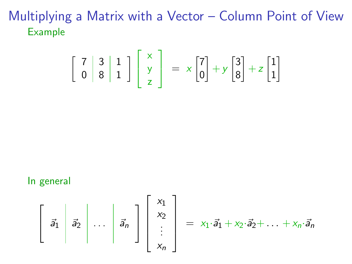Multiplying a Matrix with a Vector – Column Point of View Example

$$
\left[\begin{array}{c|c}7 & 3 & 1\\0 & 8 & 1\end{array}\right]\left[\begin{array}{c}x\\y\\z\end{array}\right] = x\left[\begin{array}{c}7\\0\end{array}\right] + y\left[\begin{array}{c}3\\8\end{array}\right] + z\left[\begin{array}{c}1\\1\end{array}\right]
$$

#### In general

$$
\left[\begin{array}{c|c} \vec{a}_1 & \vec{a}_2 & \dots & \vec{a}_n \end{array}\right] \left[\begin{array}{c} x_1 \\ x_2 \\ \vdots \\ x_n \end{array}\right]
$$

$$
= x_1 \cdot \vec{a}_1 + x_2 \cdot \vec{a}_2 + \ldots + x_n \cdot \vec{a}_n
$$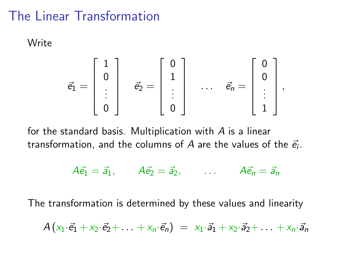## The Linear Transformation

Write

$$
\vec{e}_1 = \begin{bmatrix} 1 \\ 0 \\ \vdots \\ 0 \end{bmatrix} \quad \vec{e}_2 = \begin{bmatrix} 0 \\ 1 \\ \vdots \\ 0 \end{bmatrix} \quad \dots \quad \vec{e}_n = \begin{bmatrix} 0 \\ 0 \\ \vdots \\ 1 \end{bmatrix},
$$

for the standard basis. Multiplication with A is a linear transformation, and the columns of  $A$  are the values of the  $\vec{e_i}.$ 

 $A\vec{e}_1 = \vec{a}_1$ ,  $A\vec{e}_2 = \vec{a}_2$ , ...  $A\vec{e}_n = \vec{a}_n$ 

The transformation is determined by these values and linearity

$$
A(x_1\cdot\vec{e}_1+x_2\cdot\vec{e}_2+\ldots+x_n\cdot\vec{e}_n) = x_1\cdot\vec{a}_1+x_2\cdot\vec{a}_2+\ldots+x_n\cdot\vec{a}_n
$$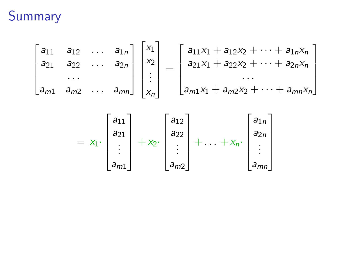# Summary

$$
\begin{bmatrix} a_{11} & a_{12} & \dots & a_{1n} \\ a_{21} & a_{22} & \dots & a_{2n} \\ \vdots & \vdots & \ddots & \vdots \\ a_{m1} & a_{m2} & \dots & a_{mn} \end{bmatrix} \begin{bmatrix} x_1 \\ x_2 \\ \vdots \\ x_n \end{bmatrix} = \begin{bmatrix} a_{11}x_1 + a_{12}x_2 + \dots + a_{1n}x_n \\ a_{21}x_1 + a_{22}x_2 + \dots + a_{2n}x_n \\ \vdots & \vdots \\ a_{m1}x_1 + a_{m2}x_2 + \dots + a_{mn}x_n \end{bmatrix}
$$

$$
= x_1 \cdot \begin{bmatrix} a_{11} \\ a_{21} \\ \vdots \\ a_{m1} \end{bmatrix} + x_2 \cdot \begin{bmatrix} a_{12} \\ a_{22} \\ \vdots \\ a_{m2} \end{bmatrix} + \ldots + x_n \cdot \begin{bmatrix} a_{1n} \\ a_{2n} \\ \vdots \\ a_{mn} \end{bmatrix}
$$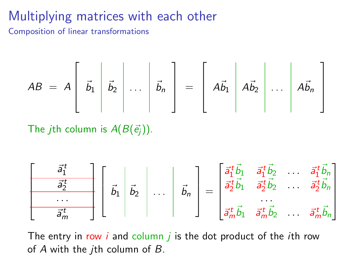## Multiplying matrices with each other

Composition of linear transformations

$$
AB = A \left[\begin{array}{c|c} \vec{b}_1 & \vec{b}_2 & \dots & \vec{b}_n \end{array}\right] = \left[\begin{array}{c|c} A\vec{b}_1 & A\vec{b}_2 & \dots & A\vec{b}_n \end{array}\right]
$$

The *j*th column is  $A(B(\vec{e}_i))$ .

$$
\begin{bmatrix}\n\overrightarrow{a_1^t} \\
\overrightarrow{a_2^t} \\
\overrightarrow{a_m^t}\n\end{bmatrix}\n\begin{bmatrix}\n\overrightarrow{b_1} \\
\overrightarrow{b_2} \\
\overrightarrow{b_n}\n\end{bmatrix} = \n\begin{bmatrix}\n\overrightarrow{a_1^t} \vec{b_1} & \overrightarrow{a_1^t} \vec{b_2} & \cdots & \overrightarrow{a_1^t} \vec{b_n} \\
\overrightarrow{a_2^t} \vec{b_1} & \overrightarrow{a_2^t} \vec{b_2} & \cdots & \overrightarrow{a_2^t} \vec{b_n} \\
\overrightarrow{a_m^t} \vec{b_1} & \overrightarrow{a_m^t} \vec{b_2} & \cdots & \overrightarrow{a_m^t} \vec{b_n}\n\end{bmatrix}
$$

The entry in row  $i$  and column  $j$  is the dot product of the *i*th row of  $A$  with the *j*th column of  $B$ .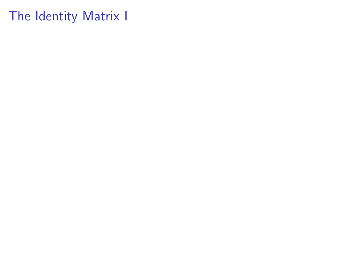The Identity Matrix I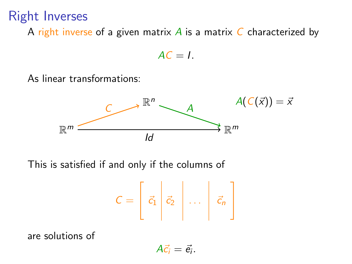## Right Inverses

A right inverse of a given matrix A is a matrix C characterized by

 $AC = I$ .

As linear transformations:



This is satisfied if and only if the columns of

$$
C = \left[\begin{array}{c|c} \vec{c}_1 & \vec{c}_2 & \dots & \vec{c}_n \end{array}\right]
$$

are solutions of

 $A\vec{c_i}=\vec{e_i}.$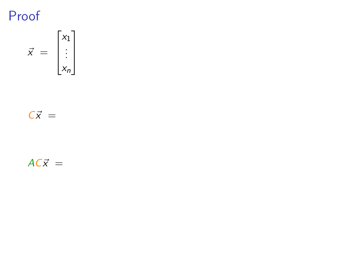Proof

$$
\vec{x} = \begin{bmatrix} x_1 \\ \vdots \\ x_n \end{bmatrix}
$$

 $C\vec{x} =$ 

 $AC\vec{x}$  =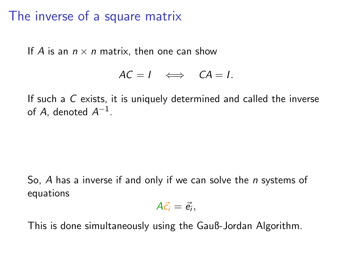#### The inverse of a square matrix

If A is an  $n \times n$  matrix, then one can show

$$
AC = I \iff CA = I.
$$

If such a C exists, it is uniquely determined and called the inverse of A, denoted  $A^{-1}$ .

So, A has a inverse if and only if we can solve the *n* systems of equations

$$
A\vec{c}_i=\vec{e}_i,
$$

This is done simultaneously using the Gauß-Jordan Algorithm.